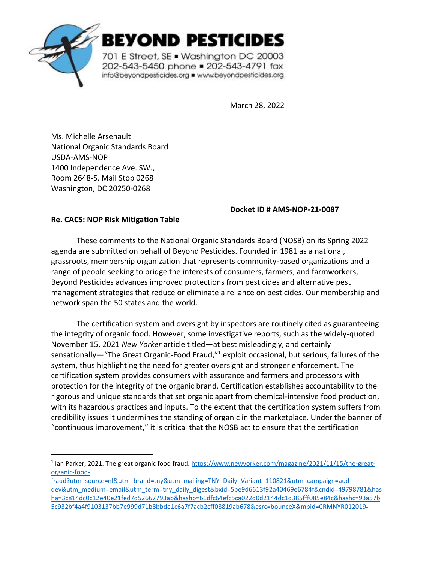

BEYOND PESTICIDES

701 E Street, SE . Washington DC 20003 202-543-5450 phone = 202-543-4791 fax info@beyondpesticides.org = www.beyondpesticides.org

March 28, 2022

Ms. Michelle Arsenault National Organic Standards Board USDA-AMS-NOP 1400 Independence Ave. SW., Room 2648-S, Mail Stop 0268 Washington, DC 20250-0268

## **Docket ID # AMS-NOP-21-0087**

## **Re. CACS: NOP Risk Mitigation Table**

These comments to the National Organic Standards Board (NOSB) on its Spring 2022 agenda are submitted on behalf of Beyond Pesticides. Founded in 1981 as a national, grassroots, membership organization that represents community-based organizations and a range of people seeking to bridge the interests of consumers, farmers, and farmworkers, Beyond Pesticides advances improved protections from pesticides and alternative pest management strategies that reduce or eliminate a reliance on pesticides. Our membership and network span the 50 states and the world.

The certification system and oversight by inspectors are routinely cited as guaranteeing the integrity of organic food. However, some investigative reports, such as the widely-quoted November 15, 2021 *New Yorker* article titled—at best misleadingly, and certainly sensationally—"The Great Organic-Food Fraud,"<sup>1</sup> exploit occasional, but serious, failures of the system, thus highlighting the need for greater oversight and stronger enforcement. The certification system provides consumers with assurance and farmers and processors with protection for the integrity of the organic brand. Certification establishes accountability to the rigorous and unique standards that set organic apart from chemical-intensive food production, with its hazardous practices and inputs. To the extent that the certification system suffers from credibility issues it undermines the standing of organic in the marketplace. Under the banner of "continuous improvement," it is critical that the NOSB act to ensure that the certification

<sup>&</sup>lt;sup>1</sup> Ian Parker, 2021. The great organic food fraud. [https://www.newyorker.com/magazine/2021/11/15/the-great](https://www.newyorker.com/magazine/2021/11/15/the-great-organic-food-fraud?utm_source=nl&utm_brand=tny&utm_mailing=TNY_Daily_Variant_110821&utm_campaign=aud-dev&utm_medium=email&utm_term=tny_daily_digest&bxid=5be9d6613f92a40469e6784f&cndid=49798781&hasha=3c814dc0c12e40e21fed7d52667793ab&hashb=61dfc64efc5ca022d0d2144dc1d385fff085e84c&hashc=93a57b5c932bf4a4f9103137bb7e999d71b8bbde1c6a7f7acb2cff08819ab678&esrc=bounceX&mbid=CRMNYR012019)[organic-food-](https://www.newyorker.com/magazine/2021/11/15/the-great-organic-food-fraud?utm_source=nl&utm_brand=tny&utm_mailing=TNY_Daily_Variant_110821&utm_campaign=aud-dev&utm_medium=email&utm_term=tny_daily_digest&bxid=5be9d6613f92a40469e6784f&cndid=49798781&hasha=3c814dc0c12e40e21fed7d52667793ab&hashb=61dfc64efc5ca022d0d2144dc1d385fff085e84c&hashc=93a57b5c932bf4a4f9103137bb7e999d71b8bbde1c6a7f7acb2cff08819ab678&esrc=bounceX&mbid=CRMNYR012019)

[fraud?utm\\_source=nl&utm\\_brand=tny&utm\\_mailing=TNY\\_Daily\\_Variant\\_110821&utm\\_campaign=aud](https://www.newyorker.com/magazine/2021/11/15/the-great-organic-food-fraud?utm_source=nl&utm_brand=tny&utm_mailing=TNY_Daily_Variant_110821&utm_campaign=aud-dev&utm_medium=email&utm_term=tny_daily_digest&bxid=5be9d6613f92a40469e6784f&cndid=49798781&hasha=3c814dc0c12e40e21fed7d52667793ab&hashb=61dfc64efc5ca022d0d2144dc1d385fff085e84c&hashc=93a57b5c932bf4a4f9103137bb7e999d71b8bbde1c6a7f7acb2cff08819ab678&esrc=bounceX&mbid=CRMNYR012019)[dev&utm\\_medium=email&utm\\_term=tny\\_daily\\_digest&bxid=5be9d6613f92a40469e6784f&cndid=49798781&has](https://www.newyorker.com/magazine/2021/11/15/the-great-organic-food-fraud?utm_source=nl&utm_brand=tny&utm_mailing=TNY_Daily_Variant_110821&utm_campaign=aud-dev&utm_medium=email&utm_term=tny_daily_digest&bxid=5be9d6613f92a40469e6784f&cndid=49798781&hasha=3c814dc0c12e40e21fed7d52667793ab&hashb=61dfc64efc5ca022d0d2144dc1d385fff085e84c&hashc=93a57b5c932bf4a4f9103137bb7e999d71b8bbde1c6a7f7acb2cff08819ab678&esrc=bounceX&mbid=CRMNYR012019) [ha=3c814dc0c12e40e21fed7d52667793ab&hashb=61dfc64efc5ca022d0d2144dc1d385fff085e84c&hashc=93a57b](https://www.newyorker.com/magazine/2021/11/15/the-great-organic-food-fraud?utm_source=nl&utm_brand=tny&utm_mailing=TNY_Daily_Variant_110821&utm_campaign=aud-dev&utm_medium=email&utm_term=tny_daily_digest&bxid=5be9d6613f92a40469e6784f&cndid=49798781&hasha=3c814dc0c12e40e21fed7d52667793ab&hashb=61dfc64efc5ca022d0d2144dc1d385fff085e84c&hashc=93a57b5c932bf4a4f9103137bb7e999d71b8bbde1c6a7f7acb2cff08819ab678&esrc=bounceX&mbid=CRMNYR012019) [5c932bf4a4f9103137bb7e999d71b8bbde1c6a7f7acb2cff08819ab678&esrc=bounceX&mbid=CRMNYR012019](https://www.newyorker.com/magazine/2021/11/15/the-great-organic-food-fraud?utm_source=nl&utm_brand=tny&utm_mailing=TNY_Daily_Variant_110821&utm_campaign=aud-dev&utm_medium=email&utm_term=tny_daily_digest&bxid=5be9d6613f92a40469e6784f&cndid=49798781&hasha=3c814dc0c12e40e21fed7d52667793ab&hashb=61dfc64efc5ca022d0d2144dc1d385fff085e84c&hashc=93a57b5c932bf4a4f9103137bb7e999d71b8bbde1c6a7f7acb2cff08819ab678&esrc=bounceX&mbid=CRMNYR012019) .